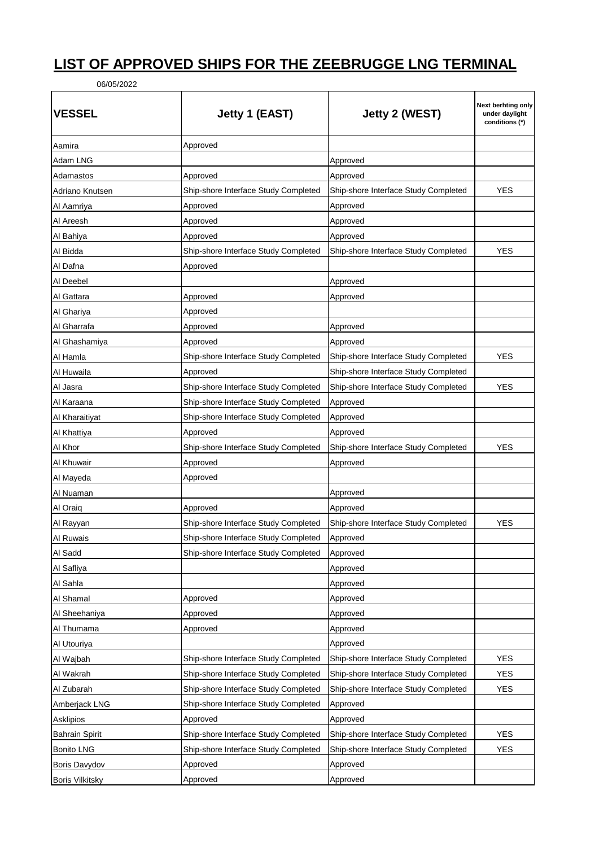## **LIST OF APPROVED SHIPS FOR THE ZEEBRUGGE LNG TERMINAL**

06/05/2022

| <b>VESSEL</b>          | Jetty 1 (EAST)                       | Jetty 2 (WEST)                       | Next berhting only<br>under daylight<br>conditions (*) |
|------------------------|--------------------------------------|--------------------------------------|--------------------------------------------------------|
| Aamira                 | Approved                             |                                      |                                                        |
| Adam LNG               |                                      | Approved                             |                                                        |
| Adamastos              | Approved                             | Approved                             |                                                        |
| Adriano Knutsen        | Ship-shore Interface Study Completed | Ship-shore Interface Study Completed | YES                                                    |
| Al Aamriya             | Approved                             | Approved                             |                                                        |
| Al Areesh              | Approved                             | Approved                             |                                                        |
| Al Bahiya              | Approved                             | Approved                             |                                                        |
| Al Bidda               | Ship-shore Interface Study Completed | Ship-shore Interface Study Completed | YES                                                    |
| Al Dafna               | Approved                             |                                      |                                                        |
| Al Deebel              |                                      | Approved                             |                                                        |
| Al Gattara             | Approved                             | Approved                             |                                                        |
| Al Ghariya             | Approved                             |                                      |                                                        |
| Al Gharrafa            | Approved                             | Approved                             |                                                        |
| Al Ghashamiya          | Approved                             | Approved                             |                                                        |
| Al Hamla               | Ship-shore Interface Study Completed | Ship-shore Interface Study Completed | YES                                                    |
| Al Huwaila             | Approved                             | Ship-shore Interface Study Completed |                                                        |
| Al Jasra               | Ship-shore Interface Study Completed | Ship-shore Interface Study Completed | YES                                                    |
| Al Karaana             | Ship-shore Interface Study Completed | Approved                             |                                                        |
| Al Kharaitiyat         | Ship-shore Interface Study Completed | Approved                             |                                                        |
| Al Khattiya            | Approved                             | Approved                             |                                                        |
| Al Khor                | Ship-shore Interface Study Completed | Ship-shore Interface Study Completed | YES                                                    |
| Al Khuwair             | Approved                             | Approved                             |                                                        |
| Al Mayeda              | Approved                             |                                      |                                                        |
| Al Nuaman              |                                      | Approved                             |                                                        |
| Al Oraiq               | Approved                             | Approved                             |                                                        |
| Al Rayyan              | Ship-shore Interface Study Completed | Ship-shore Interface Study Completed | YES                                                    |
| Al Ruwais              | Ship-shore Interface Study Completed | Approved                             |                                                        |
| Al Sadd                | Ship-shore Interface Study Completed | Approved                             |                                                        |
| Al Safliya             |                                      | Approved                             |                                                        |
| Al Sahla               |                                      | Approved                             |                                                        |
| Al Shamal              | Approved                             | Approved                             |                                                        |
| Al Sheehaniya          | Approved                             | Approved                             |                                                        |
| Al Thumama             | Approved                             | Approved                             |                                                        |
| Al Utouriya            |                                      | Approved                             |                                                        |
| Al Wajbah              | Ship-shore Interface Study Completed | Ship-shore Interface Study Completed | <b>YES</b>                                             |
| Al Wakrah              | Ship-shore Interface Study Completed | Ship-shore Interface Study Completed | <b>YES</b>                                             |
| Al Zubarah             | Ship-shore Interface Study Completed | Ship-shore Interface Study Completed | <b>YES</b>                                             |
| Amberjack LNG          | Ship-shore Interface Study Completed | Approved                             |                                                        |
| Asklipios              | Approved                             | Approved                             |                                                        |
| Bahrain Spirit         | Ship-shore Interface Study Completed | Ship-shore Interface Study Completed | <b>YES</b>                                             |
| <b>Bonito LNG</b>      | Ship-shore Interface Study Completed | Ship-shore Interface Study Completed | <b>YES</b>                                             |
| Boris Davydov          | Approved                             | Approved                             |                                                        |
| <b>Boris Vilkitsky</b> | Approved                             | Approved                             |                                                        |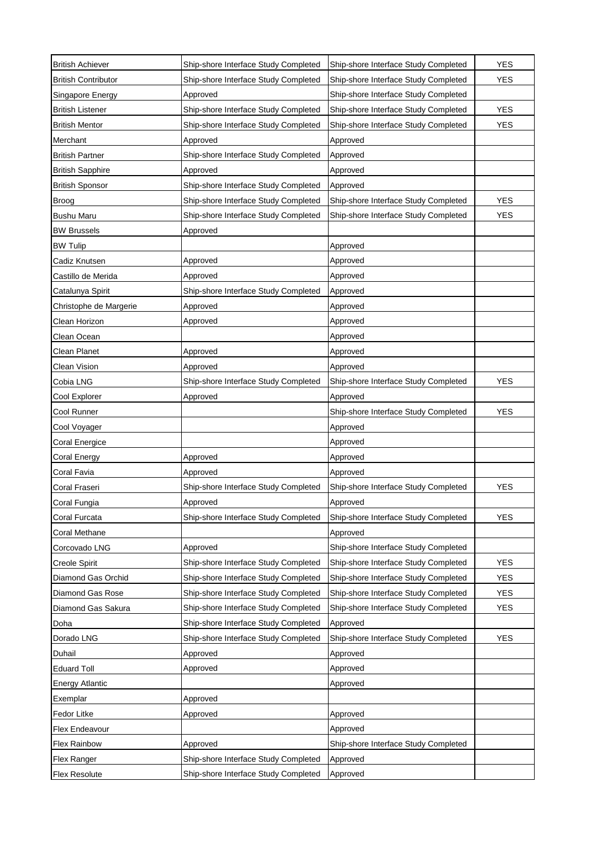| <b>British Achiever</b>    | Ship-shore Interface Study Completed | Ship-shore Interface Study Completed | <b>YES</b> |
|----------------------------|--------------------------------------|--------------------------------------|------------|
| <b>British Contributor</b> | Ship-shore Interface Study Completed | Ship-shore Interface Study Completed | <b>YES</b> |
| Singapore Energy           | Approved                             | Ship-shore Interface Study Completed |            |
| <b>British Listener</b>    | Ship-shore Interface Study Completed | Ship-shore Interface Study Completed | <b>YES</b> |
| <b>British Mentor</b>      | Ship-shore Interface Study Completed | Ship-shore Interface Study Completed | <b>YES</b> |
| Merchant                   | Approved                             | Approved                             |            |
| <b>British Partner</b>     | Ship-shore Interface Study Completed | Approved                             |            |
| <b>British Sapphire</b>    | Approved                             | Approved                             |            |
| <b>British Sponsor</b>     | Ship-shore Interface Study Completed | Approved                             |            |
| <b>Broog</b>               | Ship-shore Interface Study Completed | Ship-shore Interface Study Completed | <b>YES</b> |
| <b>Bushu Maru</b>          | Ship-shore Interface Study Completed | Ship-shore Interface Study Completed | <b>YES</b> |
| <b>BW Brussels</b>         | Approved                             |                                      |            |
| <b>BW Tulip</b>            |                                      | Approved                             |            |
| Cadiz Knutsen              | Approved                             | Approved                             |            |
| Castillo de Merida         | Approved                             | Approved                             |            |
| Catalunya Spirit           | Ship-shore Interface Study Completed | Approved                             |            |
| Christophe de Margerie     | Approved                             | Approved                             |            |
| Clean Horizon              | Approved                             | Approved                             |            |
| Clean Ocean                |                                      | Approved                             |            |
| Clean Planet               | Approved                             | Approved                             |            |
| Clean Vision               | Approved                             | Approved                             |            |
| Cobia LNG                  | Ship-shore Interface Study Completed | Ship-shore Interface Study Completed | YES        |
| Cool Explorer              | Approved                             | Approved                             |            |
| Cool Runner                |                                      | Ship-shore Interface Study Completed | YES        |
| Cool Voyager               |                                      | Approved                             |            |
| Coral Energice             |                                      | Approved                             |            |
| Coral Energy               | Approved                             | Approved                             |            |
| Coral Favia                | Approved                             | Approved                             |            |
| Coral Fraseri              | Ship-shore Interface Study Completed | Ship-shore Interface Study Completed | <b>YES</b> |
| Coral Fungia               | Approved                             | Approved                             |            |
| Coral Furcata              | Ship-shore Interface Study Completed | Ship-shore Interface Study Completed | YES        |
| Coral Methane              |                                      | Approved                             |            |
| Corcovado LNG              | Approved                             | Ship-shore Interface Study Completed |            |
| <b>Creole Spirit</b>       | Ship-shore Interface Study Completed | Ship-shore Interface Study Completed | <b>YES</b> |
| Diamond Gas Orchid         | Ship-shore Interface Study Completed | Ship-shore Interface Study Completed | <b>YES</b> |
| Diamond Gas Rose           | Ship-shore Interface Study Completed | Ship-shore Interface Study Completed | <b>YES</b> |
| Diamond Gas Sakura         | Ship-shore Interface Study Completed | Ship-shore Interface Study Completed | <b>YES</b> |
| Doha                       | Ship-shore Interface Study Completed | Approved                             |            |
| Dorado LNG                 | Ship-shore Interface Study Completed | Ship-shore Interface Study Completed | YES        |
| Duhail                     | Approved                             | Approved                             |            |
| <b>Eduard Toll</b>         | Approved                             | Approved                             |            |
| <b>Energy Atlantic</b>     |                                      | Approved                             |            |
| Exemplar                   | Approved                             |                                      |            |
| Fedor Litke                | Approved                             | Approved                             |            |
| Flex Endeavour             |                                      | Approved                             |            |
| <b>Flex Rainbow</b>        | Approved                             | Ship-shore Interface Study Completed |            |
| Flex Ranger                | Ship-shore Interface Study Completed | Approved                             |            |
| Flex Resolute              | Ship-shore Interface Study Completed | Approved                             |            |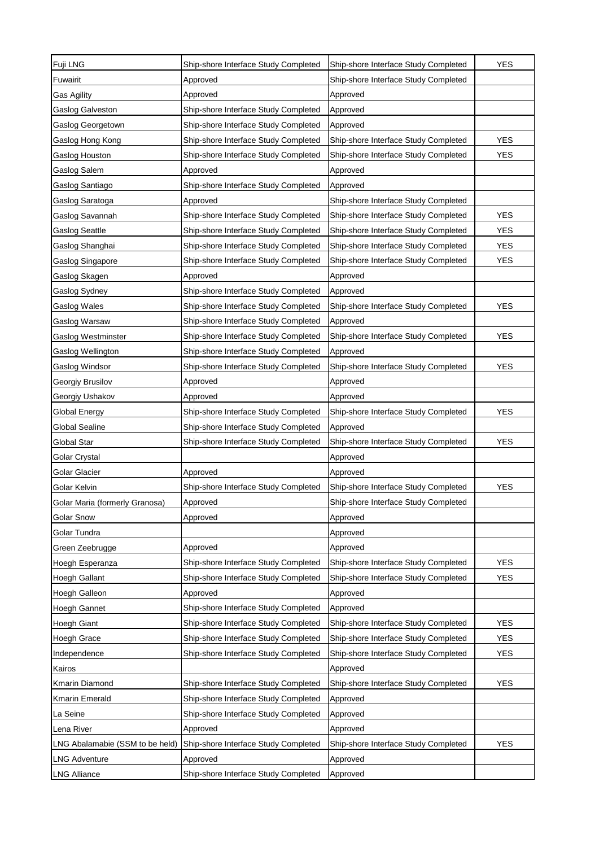| Fuji LNG                        | Ship-shore Interface Study Completed | Ship-shore Interface Study Completed | <b>YES</b> |
|---------------------------------|--------------------------------------|--------------------------------------|------------|
| Fuwairit                        | Approved                             | Ship-shore Interface Study Completed |            |
| Gas Agility                     | Approved                             | Approved                             |            |
| Gaslog Galveston                | Ship-shore Interface Study Completed | Approved                             |            |
| Gaslog Georgetown               | Ship-shore Interface Study Completed | Approved                             |            |
| Gaslog Hong Kong                | Ship-shore Interface Study Completed | Ship-shore Interface Study Completed | <b>YES</b> |
| Gaslog Houston                  | Ship-shore Interface Study Completed | Ship-shore Interface Study Completed | <b>YES</b> |
| Gaslog Salem                    | Approved                             | Approved                             |            |
| Gaslog Santiago                 | Ship-shore Interface Study Completed | Approved                             |            |
| Gaslog Saratoga                 | Approved                             | Ship-shore Interface Study Completed |            |
| Gaslog Savannah                 | Ship-shore Interface Study Completed | Ship-shore Interface Study Completed | <b>YES</b> |
| Gaslog Seattle                  | Ship-shore Interface Study Completed | Ship-shore Interface Study Completed | <b>YES</b> |
| Gaslog Shanghai                 | Ship-shore Interface Study Completed | Ship-shore Interface Study Completed | <b>YES</b> |
| Gaslog Singapore                | Ship-shore Interface Study Completed | Ship-shore Interface Study Completed | <b>YES</b> |
| Gaslog Skagen                   | Approved                             | Approved                             |            |
| Gaslog Sydney                   | Ship-shore Interface Study Completed | Approved                             |            |
| Gaslog Wales                    | Ship-shore Interface Study Completed | Ship-shore Interface Study Completed | <b>YES</b> |
| Gaslog Warsaw                   | Ship-shore Interface Study Completed | Approved                             |            |
| Gaslog Westminster              | Ship-shore Interface Study Completed | Ship-shore Interface Study Completed | <b>YES</b> |
| Gaslog Wellington               | Ship-shore Interface Study Completed | Approved                             |            |
| Gaslog Windsor                  | Ship-shore Interface Study Completed | Ship-shore Interface Study Completed | <b>YES</b> |
| Georgiy Brusilov                | Approved                             | Approved                             |            |
| Georgiy Ushakov                 | Approved                             | Approved                             |            |
| Global Energy                   | Ship-shore Interface Study Completed | Ship-shore Interface Study Completed | <b>YES</b> |
| Global Sealine                  | Ship-shore Interface Study Completed | Approved                             |            |
| Global Star                     | Ship-shore Interface Study Completed | Ship-shore Interface Study Completed | <b>YES</b> |
| Golar Crystal                   |                                      | Approved                             |            |
| Golar Glacier                   | Approved                             | Approved                             |            |
| Golar Kelvin                    | Ship-shore Interface Study Completed | Ship-shore Interface Study Completed | <b>YES</b> |
| Golar Maria (formerly Granosa)  | Approved                             | Ship-shore Interface Study Completed |            |
| <b>Golar Snow</b>               | Approved                             | Approved                             |            |
| Golar Tundra                    |                                      | Approved                             |            |
| Green Zeebrugge                 | Approved                             | Approved                             |            |
| Hoegh Esperanza                 | Ship-shore Interface Study Completed | Ship-shore Interface Study Completed | <b>YES</b> |
| Hoegh Gallant                   | Ship-shore Interface Study Completed | Ship-shore Interface Study Completed | <b>YES</b> |
| Hoegh Galleon                   | Approved                             | Approved                             |            |
| Hoegh Gannet                    | Ship-shore Interface Study Completed | Approved                             |            |
| <b>Hoegh Giant</b>              | Ship-shore Interface Study Completed | Ship-shore Interface Study Completed | <b>YES</b> |
| <b>Hoegh Grace</b>              | Ship-shore Interface Study Completed | Ship-shore Interface Study Completed | <b>YES</b> |
| Independence                    | Ship-shore Interface Study Completed | Ship-shore Interface Study Completed | <b>YES</b> |
| Kairos                          |                                      | Approved                             |            |
| Kmarin Diamond                  | Ship-shore Interface Study Completed | Ship-shore Interface Study Completed | <b>YES</b> |
| Kmarin Emerald                  | Ship-shore Interface Study Completed | Approved                             |            |
| La Seine                        | Ship-shore Interface Study Completed | Approved                             |            |
| Lena River                      | Approved                             | Approved                             |            |
| LNG Abalamabie (SSM to be held) | Ship-shore Interface Study Completed | Ship-shore Interface Study Completed | <b>YES</b> |
| <b>LNG Adventure</b>            | Approved                             | Approved                             |            |
| <b>LNG Alliance</b>             | Ship-shore Interface Study Completed | Approved                             |            |
|                                 |                                      |                                      |            |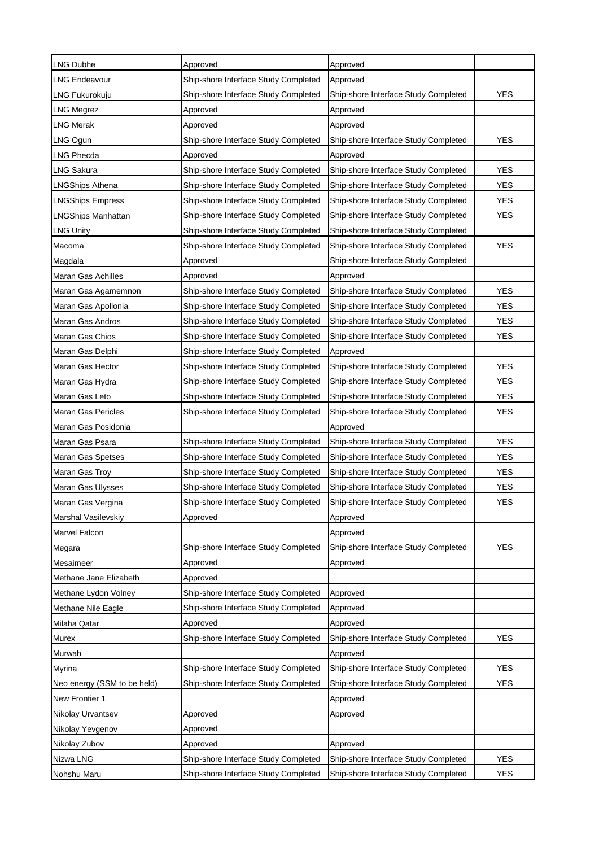| <b>LNG Dubhe</b>            | Approved                             | Approved                             |            |
|-----------------------------|--------------------------------------|--------------------------------------|------------|
| <b>LNG Endeavour</b>        | Ship-shore Interface Study Completed | Approved                             |            |
| LNG Fukurokuju              | Ship-shore Interface Study Completed | Ship-shore Interface Study Completed | <b>YES</b> |
| LNG Megrez                  | Approved                             | Approved                             |            |
| <b>LNG Merak</b>            | Approved                             | Approved                             |            |
| LNG Ogun                    | Ship-shore Interface Study Completed | Ship-shore Interface Study Completed | <b>YES</b> |
| <b>LNG Phecda</b>           | Approved                             | Approved                             |            |
| LNG Sakura                  | Ship-shore Interface Study Completed | Ship-shore Interface Study Completed | <b>YES</b> |
| <b>LNGShips Athena</b>      | Ship-shore Interface Study Completed | Ship-shore Interface Study Completed | <b>YES</b> |
| <b>LNGShips Empress</b>     | Ship-shore Interface Study Completed | Ship-shore Interface Study Completed | <b>YES</b> |
| LNGShips Manhattan          | Ship-shore Interface Study Completed | Ship-shore Interface Study Completed | <b>YES</b> |
| <b>LNG Unity</b>            | Ship-shore Interface Study Completed | Ship-shore Interface Study Completed |            |
| Macoma                      | Ship-shore Interface Study Completed | Ship-shore Interface Study Completed | <b>YES</b> |
| Magdala                     | Approved                             | Ship-shore Interface Study Completed |            |
| Maran Gas Achilles          | Approved                             | Approved                             |            |
| Maran Gas Agamemnon         | Ship-shore Interface Study Completed | Ship-shore Interface Study Completed | <b>YES</b> |
| Maran Gas Apollonia         | Ship-shore Interface Study Completed | Ship-shore Interface Study Completed | <b>YES</b> |
| Maran Gas Andros            | Ship-shore Interface Study Completed | Ship-shore Interface Study Completed | <b>YES</b> |
| Maran Gas Chios             | Ship-shore Interface Study Completed | Ship-shore Interface Study Completed | <b>YES</b> |
| Maran Gas Delphi            | Ship-shore Interface Study Completed | Approved                             |            |
| Maran Gas Hector            | Ship-shore Interface Study Completed | Ship-shore Interface Study Completed | <b>YES</b> |
| Maran Gas Hydra             | Ship-shore Interface Study Completed | Ship-shore Interface Study Completed | <b>YES</b> |
| Maran Gas Leto              | Ship-shore Interface Study Completed | Ship-shore Interface Study Completed | <b>YES</b> |
| <b>Maran Gas Pericles</b>   | Ship-shore Interface Study Completed | Ship-shore Interface Study Completed | <b>YES</b> |
| Maran Gas Posidonia         |                                      | Approved                             |            |
| Maran Gas Psara             | Ship-shore Interface Study Completed | Ship-shore Interface Study Completed | <b>YES</b> |
| Maran Gas Spetses           | Ship-shore Interface Study Completed | Ship-shore Interface Study Completed | <b>YES</b> |
| Maran Gas Troy              | Ship-shore Interface Study Completed | Ship-shore Interface Study Completed | <b>YES</b> |
| Maran Gas Ulysses           | Ship-shore Interface Study Completed | Ship-shore Interface Study Completed | YES        |
| Maran Gas Vergina           | Ship-shore Interface Study Completed | Ship-shore Interface Study Completed | <b>YES</b> |
| Marshal Vasilevskiy         | Approved                             | Approved                             |            |
| Marvel Falcon               |                                      | Approved                             |            |
| Megara                      | Ship-shore Interface Study Completed | Ship-shore Interface Study Completed | YES        |
| Mesaimeer                   | Approved                             | Approved                             |            |
| Methane Jane Elizabeth      | Approved                             |                                      |            |
| Methane Lydon Volney        | Ship-shore Interface Study Completed | Approved                             |            |
| Methane Nile Eagle          | Ship-shore Interface Study Completed | Approved                             |            |
| Milaha Qatar                | Approved                             | Approved                             |            |
| Murex                       | Ship-shore Interface Study Completed | Ship-shore Interface Study Completed | YES        |
| Murwab                      |                                      | Approved                             |            |
| Myrina                      | Ship-shore Interface Study Completed | Ship-shore Interface Study Completed | YES        |
| Neo energy (SSM to be held) | Ship-shore Interface Study Completed | Ship-shore Interface Study Completed | YES        |
| New Frontier 1              |                                      | Approved                             |            |
| Nikolay Urvantsev           | Approved                             | Approved                             |            |
| Nikolay Yevgenov            | Approved                             |                                      |            |
| Nikolay Zubov               | Approved                             | Approved                             |            |
| Nizwa LNG                   | Ship-shore Interface Study Completed | Ship-shore Interface Study Completed | <b>YES</b> |
| Nohshu Maru                 | Ship-shore Interface Study Completed | Ship-shore Interface Study Completed | YES        |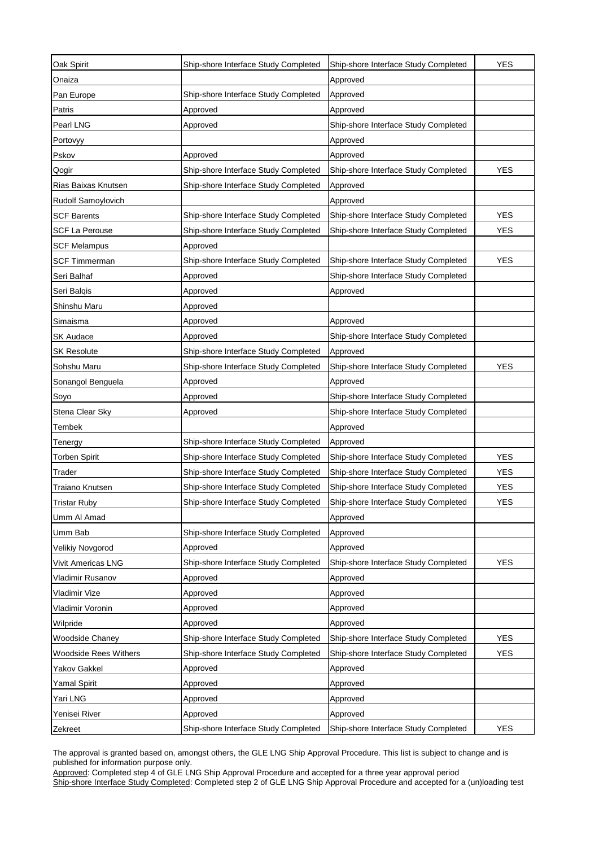| Oak Spirit                   | Ship-shore Interface Study Completed | Ship-shore Interface Study Completed | <b>YES</b> |
|------------------------------|--------------------------------------|--------------------------------------|------------|
| Onaiza                       |                                      | Approved                             |            |
| Pan Europe                   | Ship-shore Interface Study Completed | Approved                             |            |
| Patris                       | Approved                             | Approved                             |            |
| Pearl LNG                    | Approved                             | Ship-shore Interface Study Completed |            |
| Portovyy                     |                                      | Approved                             |            |
| Pskov                        | Approved                             | Approved                             |            |
| Qogir                        | Ship-shore Interface Study Completed | Ship-shore Interface Study Completed | <b>YES</b> |
| Rias Baixas Knutsen          | Ship-shore Interface Study Completed | Approved                             |            |
| Rudolf Samoylovich           |                                      | Approved                             |            |
| <b>SCF Barents</b>           | Ship-shore Interface Study Completed | Ship-shore Interface Study Completed | <b>YES</b> |
| <b>SCF La Perouse</b>        | Ship-shore Interface Study Completed | Ship-shore Interface Study Completed | <b>YES</b> |
| <b>SCF Melampus</b>          | Approved                             |                                      |            |
| SCF Timmerman                | Ship-shore Interface Study Completed | Ship-shore Interface Study Completed | <b>YES</b> |
| Seri Balhaf                  | Approved                             | Ship-shore Interface Study Completed |            |
| Seri Balqis                  | Approved                             | Approved                             |            |
| Shinshu Maru                 | Approved                             |                                      |            |
| Simaisma                     | Approved                             | Approved                             |            |
| <b>SK Audace</b>             | Approved                             | Ship-shore Interface Study Completed |            |
| <b>SK Resolute</b>           | Ship-shore Interface Study Completed | Approved                             |            |
| Sohshu Maru                  | Ship-shore Interface Study Completed | Ship-shore Interface Study Completed | <b>YES</b> |
| Sonangol Benguela            | Approved                             | Approved                             |            |
| Soyo                         | Approved                             | Ship-shore Interface Study Completed |            |
| Stena Clear Sky              | Approved                             | Ship-shore Interface Study Completed |            |
| Tembek                       |                                      | Approved                             |            |
| Tenergy                      | Ship-shore Interface Study Completed | Approved                             |            |
| <b>Torben Spirit</b>         | Ship-shore Interface Study Completed | Ship-shore Interface Study Completed | <b>YES</b> |
| Trader                       | Ship-shore Interface Study Completed | Ship-shore Interface Study Completed | <b>YES</b> |
| Traiano Knutsen              | Ship-shore Interface Study Completed | Ship-shore Interface Study Completed | <b>YES</b> |
| <b>Tristar Ruby</b>          | Ship-shore Interface Study Completed | Ship-shore Interface Study Completed | <b>YES</b> |
| Umm Al Amad                  |                                      | Approved                             |            |
| Umm Bab                      | Ship-shore Interface Study Completed | Approved                             |            |
| Velikiy Novgorod             | Approved                             | Approved                             |            |
| Vivit Americas LNG           | Ship-shore Interface Study Completed | Ship-shore Interface Study Completed | <b>YES</b> |
| Vladimir Rusanov             | Approved                             | Approved                             |            |
| Vladimir Vize                | Approved                             | Approved                             |            |
| Vladimir Voronin             | Approved                             | Approved                             |            |
| Wilpride                     | Approved                             | Approved                             |            |
| <b>Woodside Chaney</b>       | Ship-shore Interface Study Completed | Ship-shore Interface Study Completed | <b>YES</b> |
| <b>Woodside Rees Withers</b> | Ship-shore Interface Study Completed | Ship-shore Interface Study Completed | <b>YES</b> |
| Yakov Gakkel                 | Approved                             | Approved                             |            |
| Yamal Spirit                 | Approved                             | Approved                             |            |
| Yari LNG                     | Approved                             | Approved                             |            |
| Yenisei River                | Approved                             | Approved                             |            |
| Zekreet                      | Ship-shore Interface Study Completed | Ship-shore Interface Study Completed | <b>YES</b> |

The approval is granted based on, amongst others, the GLE LNG Ship Approval Procedure. This list is subject to change and is published for information purpose only.

Approved: Completed step 4 of GLE LNG Ship Approval Procedure and accepted for a three year approval period

Ship-shore Interface Study Completed: Completed step 2 of GLE LNG Ship Approval Procedure and accepted for a (un)loading test